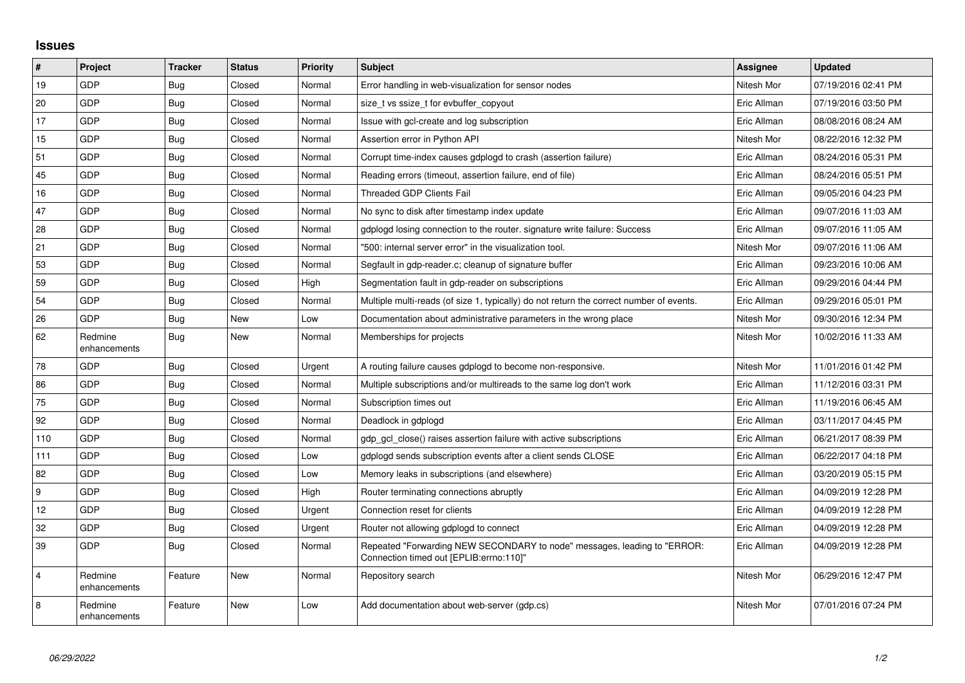## **Issues**

| $\vert$ #      | Project                 | <b>Tracker</b> | <b>Status</b> | <b>Priority</b> | Subject                                                                                                             | <b>Assignee</b> | <b>Updated</b>      |
|----------------|-------------------------|----------------|---------------|-----------------|---------------------------------------------------------------------------------------------------------------------|-----------------|---------------------|
| 19             | GDP                     | Bug            | Closed        | Normal          | Error handling in web-visualization for sensor nodes                                                                | Nitesh Mor      | 07/19/2016 02:41 PM |
| 20             | GDP                     | Bug            | Closed        | Normal          | size t vs ssize t for evbuffer copyout                                                                              | Eric Allman     | 07/19/2016 03:50 PM |
| 17             | <b>GDP</b>              | Bug            | Closed        | Normal          | Issue with gcl-create and log subscription                                                                          | Eric Allman     | 08/08/2016 08:24 AM |
| 15             | GDP                     | Bug            | Closed        | Normal          | Assertion error in Python API                                                                                       | Nitesh Mor      | 08/22/2016 12:32 PM |
| 51             | GDP                     | Bug            | Closed        | Normal          | Corrupt time-index causes gdplogd to crash (assertion failure)                                                      | Eric Allman     | 08/24/2016 05:31 PM |
| 45             | GDP                     | Bug            | Closed        | Normal          | Reading errors (timeout, assertion failure, end of file)                                                            | Eric Allman     | 08/24/2016 05:51 PM |
| 16             | GDP                     | <b>Bug</b>     | Closed        | Normal          | Threaded GDP Clients Fail                                                                                           | Eric Allman     | 09/05/2016 04:23 PM |
| 47             | <b>GDP</b>              | Bug            | Closed        | Normal          | No sync to disk after timestamp index update                                                                        | Eric Allman     | 09/07/2016 11:03 AM |
| 28             | GDP                     | <b>Bug</b>     | Closed        | Normal          | gdplogd losing connection to the router, signature write failure: Success                                           | Eric Allman     | 09/07/2016 11:05 AM |
| 21             | GDP                     | Bug            | Closed        | Normal          | "500: internal server error" in the visualization tool.                                                             | Nitesh Mor      | 09/07/2016 11:06 AM |
| 53             | <b>GDP</b>              | Bug            | Closed        | Normal          | Segfault in gdp-reader.c; cleanup of signature buffer                                                               | Eric Allman     | 09/23/2016 10:06 AM |
| 59             | GDP                     | Bug            | Closed        | High            | Segmentation fault in gdp-reader on subscriptions                                                                   | Eric Allman     | 09/29/2016 04:44 PM |
| 54             | GDP                     | <b>Bug</b>     | Closed        | Normal          | Multiple multi-reads (of size 1, typically) do not return the correct number of events.                             | Eric Allman     | 09/29/2016 05:01 PM |
| 26             | GDP                     | Bug            | <b>New</b>    | Low             | Documentation about administrative parameters in the wrong place                                                    | Nitesh Mor      | 09/30/2016 12:34 PM |
| 62             | Redmine<br>enhancements | Bug            | New           | Normal          | Memberships for projects                                                                                            | Nitesh Mor      | 10/02/2016 11:33 AM |
| 78             | <b>GDP</b>              | Bug            | Closed        | Urgent          | A routing failure causes gdplogd to become non-responsive.                                                          | Nitesh Mor      | 11/01/2016 01:42 PM |
| 86             | GDP                     | <b>Bug</b>     | Closed        | Normal          | Multiple subscriptions and/or multireads to the same log don't work                                                 | Eric Allman     | 11/12/2016 03:31 PM |
| 75             | GDP                     | Bug            | Closed        | Normal          | Subscription times out                                                                                              | Eric Allman     | 11/19/2016 06:45 AM |
| 92             | GDP                     | <b>Bug</b>     | Closed        | Normal          | Deadlock in gdplogd                                                                                                 | Eric Allman     | 03/11/2017 04:45 PM |
| 110            | <b>GDP</b>              | Bug            | Closed        | Normal          | gdp gcl close() raises assertion failure with active subscriptions                                                  | Eric Allman     | 06/21/2017 08:39 PM |
| 111            | GDP                     | Bug            | Closed        | Low             | gdplogd sends subscription events after a client sends CLOSE                                                        | Eric Allman     | 06/22/2017 04:18 PM |
| 82             | GDP                     | Bug            | Closed        | Low             | Memory leaks in subscriptions (and elsewhere)                                                                       | Eric Allman     | 03/20/2019 05:15 PM |
| 9              | <b>GDP</b>              | Bug            | Closed        | High            | Router terminating connections abruptly                                                                             | Eric Allman     | 04/09/2019 12:28 PM |
| 12             | GDP                     | Bug            | Closed        | Urgent          | Connection reset for clients                                                                                        | Eric Allman     | 04/09/2019 12:28 PM |
| 32             | <b>GDP</b>              | Bug            | Closed        | Urgent          | Router not allowing gdplogd to connect                                                                              | Eric Allman     | 04/09/2019 12:28 PM |
| 39             | GDP                     | <b>Bug</b>     | Closed        | Normal          | Repeated "Forwarding NEW SECONDARY to node" messages, leading to "ERROR:<br>Connection timed out [EPLIB:errno:110]" | Eric Allman     | 04/09/2019 12:28 PM |
| $\overline{4}$ | Redmine<br>enhancements | Feature        | New           | Normal          | Repository search                                                                                                   | Nitesh Mor      | 06/29/2016 12:47 PM |
| 8              | Redmine<br>enhancements | Feature        | <b>New</b>    | Low             | Add documentation about web-server (gdp.cs)                                                                         | Nitesh Mor      | 07/01/2016 07:24 PM |